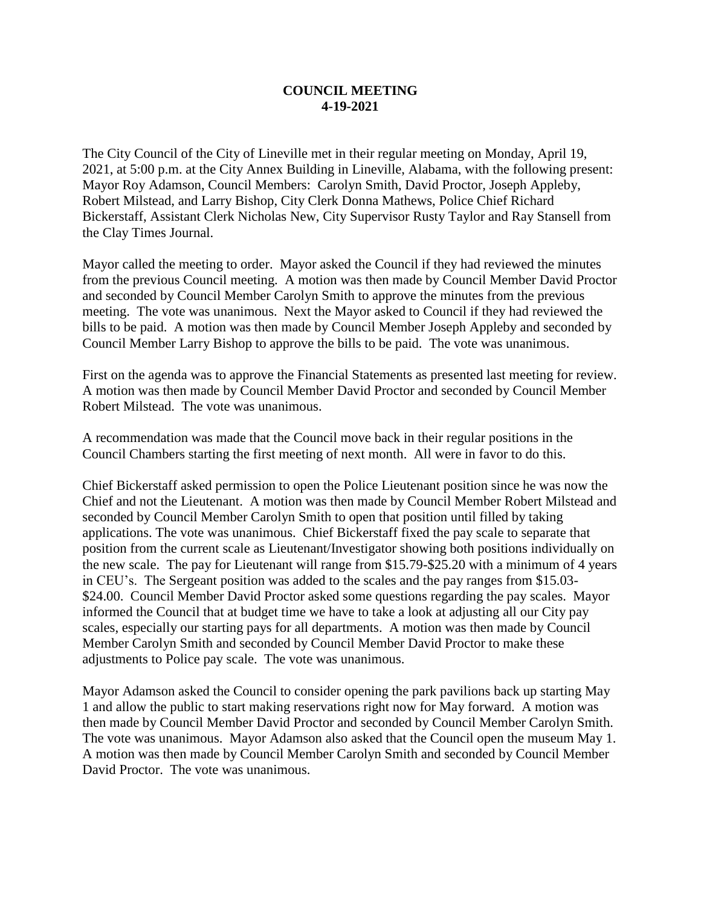## **COUNCIL MEETING 4-19-2021**

The City Council of the City of Lineville met in their regular meeting on Monday, April 19, 2021, at 5:00 p.m. at the City Annex Building in Lineville, Alabama, with the following present: Mayor Roy Adamson, Council Members: Carolyn Smith, David Proctor, Joseph Appleby, Robert Milstead, and Larry Bishop, City Clerk Donna Mathews, Police Chief Richard Bickerstaff, Assistant Clerk Nicholas New, City Supervisor Rusty Taylor and Ray Stansell from the Clay Times Journal.

Mayor called the meeting to order. Mayor asked the Council if they had reviewed the minutes from the previous Council meeting. A motion was then made by Council Member David Proctor and seconded by Council Member Carolyn Smith to approve the minutes from the previous meeting. The vote was unanimous. Next the Mayor asked to Council if they had reviewed the bills to be paid. A motion was then made by Council Member Joseph Appleby and seconded by Council Member Larry Bishop to approve the bills to be paid. The vote was unanimous.

First on the agenda was to approve the Financial Statements as presented last meeting for review. A motion was then made by Council Member David Proctor and seconded by Council Member Robert Milstead. The vote was unanimous.

A recommendation was made that the Council move back in their regular positions in the Council Chambers starting the first meeting of next month. All were in favor to do this.

Chief Bickerstaff asked permission to open the Police Lieutenant position since he was now the Chief and not the Lieutenant. A motion was then made by Council Member Robert Milstead and seconded by Council Member Carolyn Smith to open that position until filled by taking applications. The vote was unanimous. Chief Bickerstaff fixed the pay scale to separate that position from the current scale as Lieutenant/Investigator showing both positions individually on the new scale. The pay for Lieutenant will range from \$15.79-\$25.20 with a minimum of 4 years in CEU's. The Sergeant position was added to the scales and the pay ranges from \$15.03- \$24.00. Council Member David Proctor asked some questions regarding the pay scales. Mayor informed the Council that at budget time we have to take a look at adjusting all our City pay scales, especially our starting pays for all departments. A motion was then made by Council Member Carolyn Smith and seconded by Council Member David Proctor to make these adjustments to Police pay scale. The vote was unanimous.

Mayor Adamson asked the Council to consider opening the park pavilions back up starting May 1 and allow the public to start making reservations right now for May forward. A motion was then made by Council Member David Proctor and seconded by Council Member Carolyn Smith. The vote was unanimous. Mayor Adamson also asked that the Council open the museum May 1. A motion was then made by Council Member Carolyn Smith and seconded by Council Member David Proctor. The vote was unanimous.